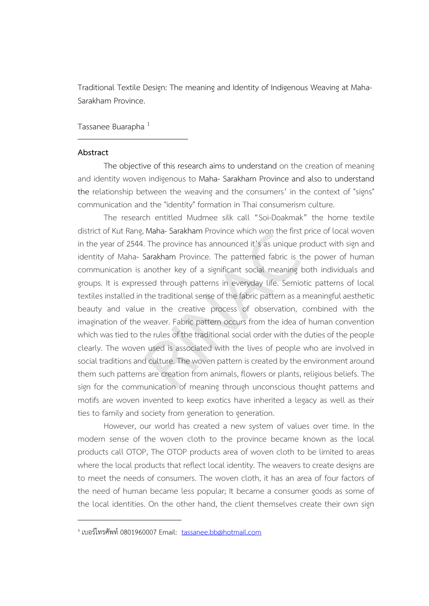Traditional Textile Design: The meaning and Identity of Indigenous Weaving at Maha-Sarakham Province.

Tassanee Buarapha<sup>1</sup>

## **Abstract**

-

The objective of this research aims to understand on the creation of meaning and identity woven indigenous to Maha- Sarakham Province and also to understand the relationship between the weaving and the consumers' in the context of "signs" communication and the "identity" formation in Thai consumerism culture.

The research entitled Mudmee silk call "Soi-Doakmak" the home textile district of Kut Rang, Maha- Sarakham Province which won the first price of local woven in the year of 2544. The province has announced it's as unique product with sign and identity of Maha- Sarakham Province. The patterned fabric is the power of human communication is another key of a significant social meaning both individuals and groups. It is expressed through patterns in everyday life. Semiotic patterns of local textiles installed in the traditional sense of the fabric pattern as a meaningful aesthetic beauty and value in the creative process of observation, combined with the imagination of the weaver. Fabric pattern occurs from the idea of human convention which was tied to the rules of the traditional social order with the duties of the people clearly. The woven used is associated with the lives of people who are involved in social traditions and culture. The woven pattern is created by the environment around them such patterns are creation from animals, flowers or plants, religious beliefs. The sign for the communication of meaning through unconscious thought patterns and motifs are woven invented to keep exotics have inherited a legacy as well as their ties to family and society from generation to generation. Mana-Sarakham Province which won the first price.<br>The province has announced it's as unique produ<br>Sarakham Province. The patterned fabric is the p-<br>another key of a significant social meaning both<br>ssed through patterns in

However, our world has created a new system of values over time. In the modern sense of the woven cloth to the province became known as the local products call OTOP, The OTOP products area of woven cloth to be limited to areas where the local products that reflect local identity. The weavers to create designs are to meet the needs of consumers. The woven cloth, it has an area of four factors of the need of human became less popular; It became a consumer goods as some of the local identities. On the other hand, the client themselves create their own sign

<sup>1</sup> เบอร์โทรศัพท์ 0801960007 Email: [tassanee.bb@hotmail.com](mailto:tassanee.bb@hotmail.com)